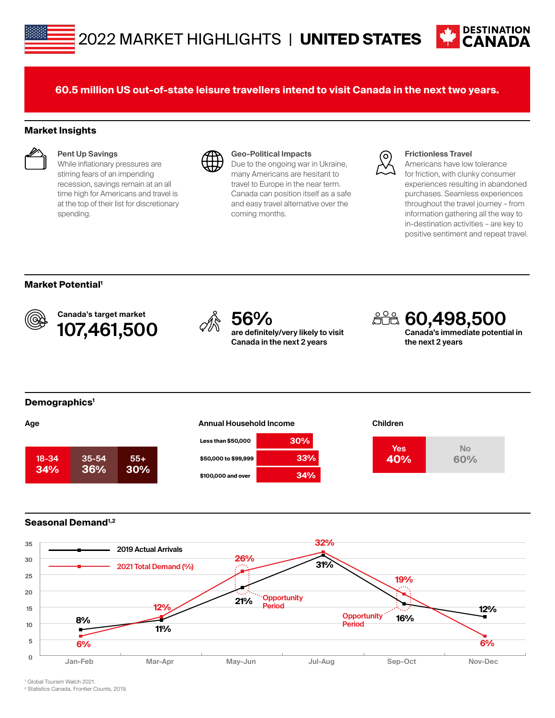

**60.5 million US out-of-state leisure travellers intend to visit Canada in the next two years.**

### **Market Insights**



#### **Pent Up Savings**

While inflationary pressures are stirring fears of an impending recession, savings remain at an all time high for Americans and travel is at the top of their list for discretionary spending.



#### **Geo-Political Impacts**

Due to the ongoing war in Ukraine, many Americans are hesitant to travel to Europe in the near term. Canada can position itself as a safe and easy travel alternative over the coming months.



#### **Frictionless Travel**

Americans have low tolerance for friction, with clunky consumer experiences resulting in abandoned purchases. Seamless experiences throughout the travel journey – from information gathering all the way to in-destination activities – are key to positive sentiment and repeat travel.

## **Market Potential1**



Canada's target market **107,461,500**  $\sqrt{\frac{2}{N}}$  **56%**<br>**107,461,500**  $\sqrt{\frac{2}{N}}$  are definitel



**are definitely/very likely to visit Canada in the next 2 years**

**60,498,500 Canada's immediate potential in the next 2 years**

#### **Demographics1**







## **Seasonal Demand1,2**



1 Global Tourism Watch 2021.

2 Statistics Canada, Frontier Counts, 2019.